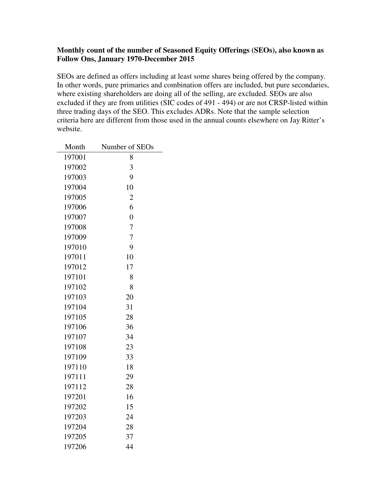## **Monthly count of the number of Seasoned Equity Offerings (SEOs), also known as Follow Ons, January 1970-December 2015**

SEOs are defined as offers including at least some shares being offered by the company. In other words, pure primaries and combination offers are included, but pure secondaries, where existing shareholders are doing all of the selling, are excluded. SEOs are also excluded if they are from utilities (SIC codes of 491 - 494) or are not CRSP-listed within three trading days of the SEO. This excludes ADRs. Note that the sample selection criteria here are different from those used in the annual counts elsewhere on Jay Ritter's website.

| Month  | Number of SEOs |
|--------|----------------|
| 197001 | 8              |
| 197002 | 3              |
| 197003 | 9              |
| 197004 | 10             |
| 197005 | $\overline{c}$ |
| 197006 | 6              |
| 197007 | $\overline{0}$ |
| 197008 | $\overline{7}$ |
| 197009 | 7              |
| 197010 | 9              |
| 197011 | 10             |
| 197012 | 17             |
| 197101 | 8              |
| 197102 | 8              |
| 197103 | 20             |
| 197104 | 31             |
| 197105 | 28             |
| 197106 | 36             |
| 197107 | 34             |
| 197108 | 23             |
| 197109 | 33             |
| 197110 | 18             |
| 197111 | 29             |
| 197112 | 28             |
| 197201 | 16             |
| 197202 | 15             |
| 197203 | 24             |
| 197204 | 28             |
| 197205 | 37             |
| 197206 | 44             |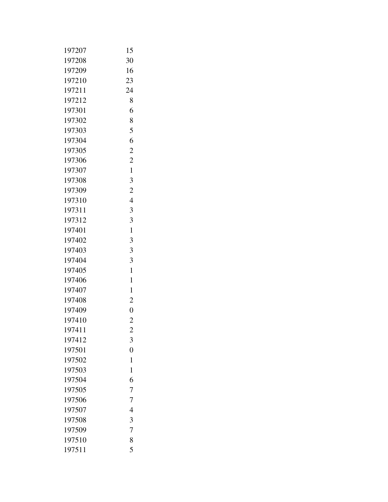| 197207 | 15             |
|--------|----------------|
| 197208 | 30             |
| 197209 | 16             |
| 197210 | 23             |
| 197211 | 24             |
| 197212 | 8              |
| 197301 | 6              |
| 197302 | 8              |
| 197303 | 5              |
| 197304 | 6              |
| 197305 | $\overline{c}$ |
| 197306 | $\overline{2}$ |
| 197307 | $\mathbf{1}$   |
| 197308 | 3              |
| 197309 | $\overline{2}$ |
| 197310 | 4              |
| 197311 | 3              |
| 197312 | 3              |
| 197401 | 1              |
| 197402 | 3              |
| 197403 | 3              |
| 197404 | 3              |
| 197405 | 1              |
| 197406 | 1              |
| 197407 | 1              |
| 197408 | $\overline{2}$ |
| 197409 | $\overline{0}$ |
| 197410 | $\overline{2}$ |
| 197411 | $\overline{2}$ |
| 197412 | 3              |
| 197501 | $\overline{0}$ |
| 197502 | $\mathbf{1}$   |
| 197503 | $\mathbf{1}$   |
| 197504 | 6              |
| 197505 | 7              |
| 197506 | 7              |
| 197507 | 4              |
| 197508 | 3              |
| 197509 | $\overline{7}$ |
| 197510 | 8              |
| 197511 | 5              |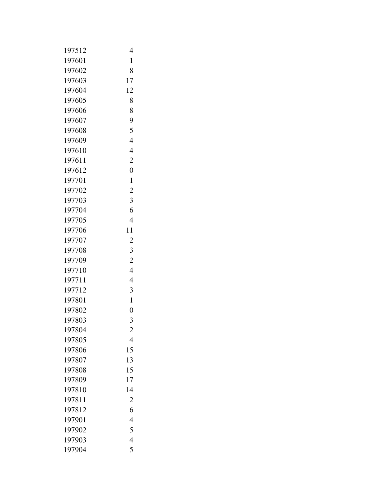| 197512 | 4              |
|--------|----------------|
| 197601 | $\mathbf{1}$   |
| 197602 | 8              |
| 197603 | 17             |
| 197604 | 12             |
| 197605 | 8              |
| 197606 | 8              |
| 197607 | 9              |
| 197608 | 5              |
| 197609 | $\overline{4}$ |
| 197610 | $\overline{4}$ |
| 197611 | $\overline{c}$ |
| 197612 | $\overline{0}$ |
| 197701 | 1              |
| 197702 | $\overline{c}$ |
| 197703 | 3              |
| 197704 | 6              |
| 197705 | $\overline{4}$ |
| 197706 | 11             |
| 197707 | 2              |
| 197708 | 3              |
| 197709 | $\overline{c}$ |
| 197710 | $\overline{4}$ |
| 197711 | 4              |
| 197712 | 3              |
| 197801 | $\mathbf{1}$   |
| 197802 | $\overline{0}$ |
| 197803 | 3              |
| 197804 | $\overline{c}$ |
| 197805 | 4              |
| 197806 | 15             |
| 197807 | 13             |
| 197808 | 15             |
| 197809 | 17             |
| 197810 | 14             |
| 197811 | $\overline{c}$ |
| 197812 | 6              |
| 197901 | $\overline{4}$ |
| 197902 | 5              |
| 197903 | $\overline{4}$ |
| 197904 | 5              |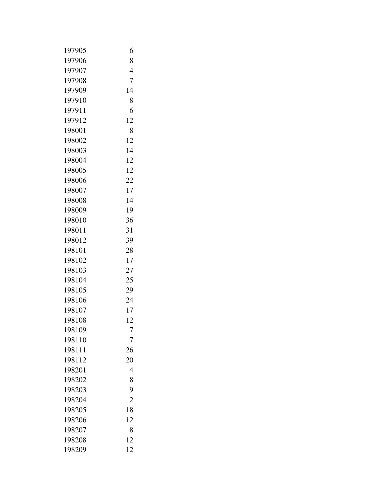| 197905 | 6              |
|--------|----------------|
| 197906 | 8              |
| 197907 | 4              |
| 197908 | 7              |
| 197909 | 14             |
| 197910 | 8              |
| 197911 | 6              |
| 197912 | 12             |
| 198001 | 8              |
| 198002 | 12             |
| 198003 | 14             |
| 198004 | 12             |
| 198005 | 12             |
| 198006 | 22             |
| 198007 | 17             |
| 198008 | 14             |
| 198009 | 19             |
| 198010 | 36             |
| 198011 | 31             |
| 198012 | 39             |
| 198101 | 28             |
| 198102 | 17             |
| 198103 | 27             |
| 198104 | 25             |
| 198105 | 29             |
| 198106 | 24             |
| 198107 | 17             |
| 198108 | 12             |
| 198109 | $\overline{7}$ |
| 198110 | 7              |
| 198111 | 26             |
| 198112 | 20             |
| 198201 | 4              |
| 198202 | 8              |
| 198203 | 9              |
| 198204 | $\overline{2}$ |
| 198205 | 18             |
| 198206 | 12             |
| 198207 | 8              |
| 198208 | 12             |
| 198209 | 12             |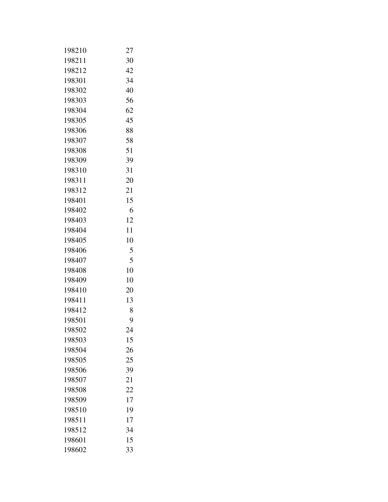| 198210 | 27 |
|--------|----|
| 198211 | 30 |
| 198212 | 42 |
| 198301 | 34 |
| 198302 | 40 |
| 198303 | 56 |
| 198304 | 62 |
| 198305 | 45 |
| 198306 | 88 |
| 198307 | 58 |
| 198308 | 51 |
| 198309 | 39 |
| 198310 | 31 |
| 198311 | 20 |
| 198312 | 21 |
| 198401 | 15 |
| 198402 | 6  |
| 198403 | 12 |
| 198404 | 11 |
| 198405 | 10 |
| 198406 | 5  |
| 198407 | 5  |
| 198408 | 10 |
| 198409 | 10 |
| 198410 | 20 |
| 198411 | 13 |
| 198412 | 8  |
| 198501 | 9  |
| 198502 | 24 |
| 198503 | 15 |
| 198504 | 26 |
| 198505 | 25 |
| 198506 | 39 |
| 198507 | 21 |
| 198508 | 22 |
| 198509 | 17 |
| 198510 | 19 |
| 198511 | 17 |
| 198512 | 34 |
| 198601 | 15 |
| 198602 | 33 |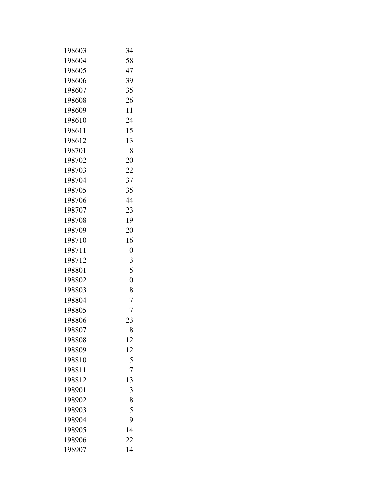| 198603 | 34             |
|--------|----------------|
| 198604 | 58             |
| 198605 | 47             |
| 198606 | 39             |
| 198607 | 35             |
| 198608 | 26             |
| 198609 | 11             |
| 198610 | 24             |
| 198611 | 15             |
| 198612 | 13             |
| 198701 | 8              |
| 198702 | 20             |
| 198703 | 22             |
| 198704 | 37             |
| 198705 | 35             |
| 198706 | 44             |
| 198707 | 23             |
| 198708 | 19             |
| 198709 | 20             |
| 198710 | 16             |
| 198711 | $\overline{0}$ |
| 198712 | 3              |
| 198801 | 5              |
| 198802 | $\overline{0}$ |
| 198803 | 8              |
| 198804 | 7              |
| 198805 | 7              |
| 198806 | 23             |
| 198807 | 8              |
| 198808 | 12             |
| 198809 | 12             |
| 198810 | 5              |
| 198811 | $\overline{7}$ |
| 198812 | 13             |
| 198901 | 3              |
| 198902 | 8              |
| 198903 | 5              |
| 198904 | 9              |
| 198905 | 14             |
| 198906 | 22             |
| 198907 | 14             |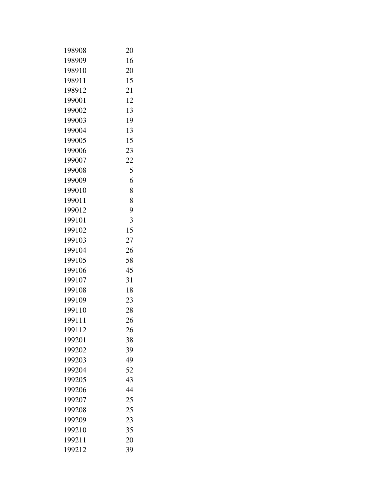| 198908 | 20 |
|--------|----|
| 198909 | 16 |
| 198910 | 20 |
| 198911 | 15 |
| 198912 | 21 |
| 199001 | 12 |
| 199002 | 13 |
| 199003 | 19 |
| 199004 | 13 |
| 199005 | 15 |
| 199006 | 23 |
| 199007 | 22 |
| 199008 | 5  |
| 199009 | 6  |
| 199010 | 8  |
| 199011 | 8  |
| 199012 | 9  |
| 199101 | 3  |
| 199102 | 15 |
| 199103 | 27 |
| 199104 | 26 |
| 199105 | 58 |
| 199106 | 45 |
| 199107 | 31 |
| 199108 | 18 |
| 199109 | 23 |
| 199110 | 28 |
| 199111 | 26 |
| 199112 | 26 |
| 199201 | 38 |
| 199202 | 39 |
| 199203 | 49 |
| 199204 | 52 |
| 199205 | 43 |
| 199206 | 44 |
| 199207 | 25 |
| 199208 | 25 |
| 199209 | 23 |
| 199210 | 35 |
| 199211 | 20 |
| 199212 | 39 |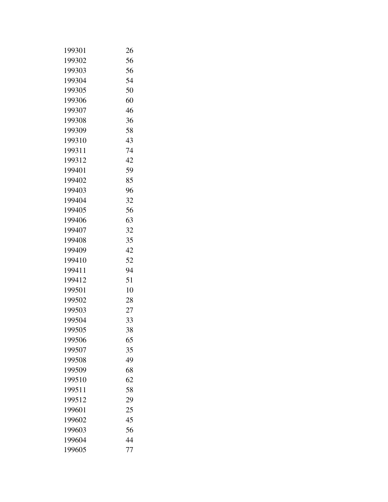| 199301 | 26 |
|--------|----|
| 199302 | 56 |
| 199303 | 56 |
| 199304 | 54 |
| 199305 | 50 |
| 199306 | 60 |
| 199307 | 46 |
| 199308 | 36 |
| 199309 | 58 |
| 199310 | 43 |
| 199311 | 74 |
| 199312 | 42 |
| 199401 | 59 |
| 199402 | 85 |
| 199403 | 96 |
| 199404 | 32 |
| 199405 | 56 |
| 199406 | 63 |
| 199407 | 32 |
| 199408 | 35 |
| 199409 | 42 |
| 199410 | 52 |
| 199411 | 94 |
| 199412 | 51 |
| 199501 | 10 |
| 199502 | 28 |
| 199503 | 27 |
| 199504 | 33 |
| 199505 | 38 |
| 199506 | 65 |
| 199507 | 35 |
| 199508 | 49 |
| 199509 | 68 |
| 199510 | 62 |
| 199511 | 58 |
| 199512 | 29 |
| 199601 | 25 |
| 199602 | 45 |
| 199603 | 56 |
| 199604 | 44 |
| 199605 | 77 |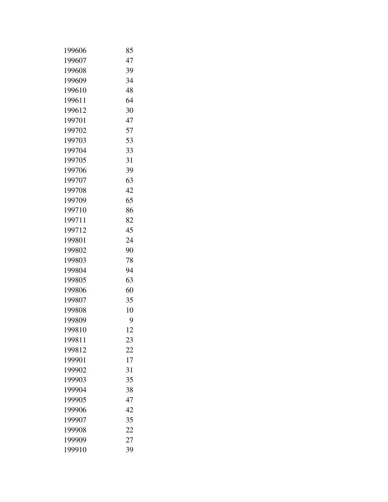| 199606 | 85 |
|--------|----|
| 199607 | 47 |
| 199608 | 39 |
| 199609 | 34 |
| 199610 | 48 |
| 199611 | 64 |
| 199612 | 30 |
| 199701 | 47 |
| 199702 | 57 |
| 199703 | 53 |
| 199704 | 33 |
| 199705 | 31 |
| 199706 | 39 |
| 199707 | 63 |
| 199708 | 42 |
| 199709 | 65 |
| 199710 | 86 |
| 199711 | 82 |
| 199712 | 45 |
| 199801 | 24 |
| 199802 | 90 |
| 199803 | 78 |
| 199804 | 94 |
| 199805 | 63 |
| 199806 | 60 |
| 199807 | 35 |
| 199808 | 10 |
| 199809 | 9  |
| 199810 | 12 |
| 199811 | 23 |
| 199812 | 22 |
| 199901 | 17 |
| 199902 | 31 |
| 199903 | 35 |
| 199904 | 38 |
| 199905 | 47 |
| 199906 | 42 |
| 199907 | 35 |
| 199908 | 22 |
| 199909 | 27 |
| 199910 | 39 |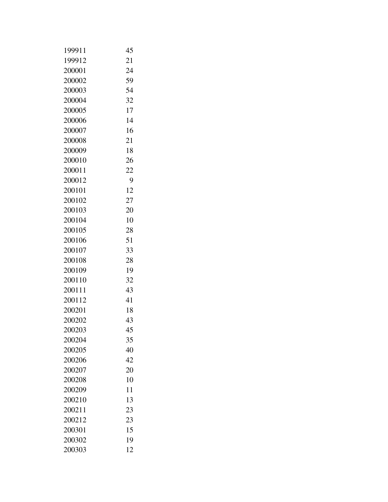| 199911 | 45 |
|--------|----|
| 199912 | 21 |
| 200001 | 24 |
| 200002 | 59 |
| 200003 | 54 |
| 200004 | 32 |
| 200005 | 17 |
| 200006 | 14 |
| 200007 | 16 |
| 200008 | 21 |
| 200009 | 18 |
| 200010 | 26 |
| 200011 | 22 |
| 200012 | 9  |
| 200101 | 12 |
| 200102 | 27 |
| 200103 | 20 |
| 200104 | 10 |
| 200105 | 28 |
| 200106 | 51 |
| 200107 | 33 |
| 200108 | 28 |
| 200109 | 19 |
| 200110 | 32 |
| 200111 | 43 |
| 200112 | 41 |
| 200201 | 18 |
| 200202 | 43 |
| 200203 | 45 |
| 200204 | 35 |
| 200205 | 40 |
| 200206 | 42 |
| 200207 | 20 |
| 200208 | 10 |
| 200209 | 11 |
| 200210 | 13 |
| 200211 | 23 |
| 200212 | 23 |
| 200301 | 15 |
| 200302 | 19 |
| 200303 | 12 |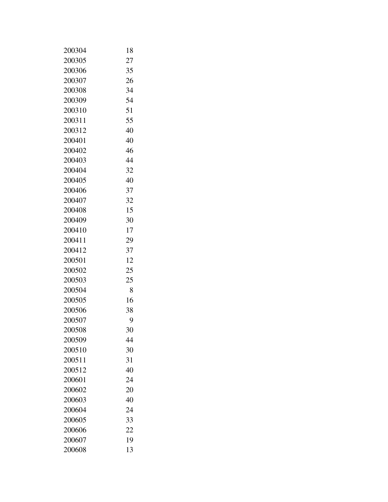| 200304 | 18 |
|--------|----|
| 200305 | 27 |
| 200306 | 35 |
| 200307 | 26 |
| 200308 | 34 |
| 200309 | 54 |
| 200310 | 51 |
| 200311 | 55 |
| 200312 | 40 |
| 200401 | 40 |
| 200402 | 46 |
| 200403 | 44 |
| 200404 | 32 |
| 200405 | 40 |
| 200406 | 37 |
| 200407 | 32 |
| 200408 | 15 |
| 200409 | 30 |
| 200410 | 17 |
| 200411 | 29 |
| 200412 | 37 |
| 200501 | 12 |
| 200502 | 25 |
| 200503 | 25 |
| 200504 | 8  |
| 200505 | 16 |
| 200506 | 38 |
| 200507 | 9  |
| 200508 | 30 |
| 200509 | 44 |
| 200510 | 30 |
| 200511 | 31 |
| 200512 | 40 |
| 200601 | 24 |
| 200602 | 20 |
| 200603 | 40 |
| 200604 | 24 |
| 200605 | 33 |
| 200606 | 22 |
| 200607 | 19 |
| 200608 | 13 |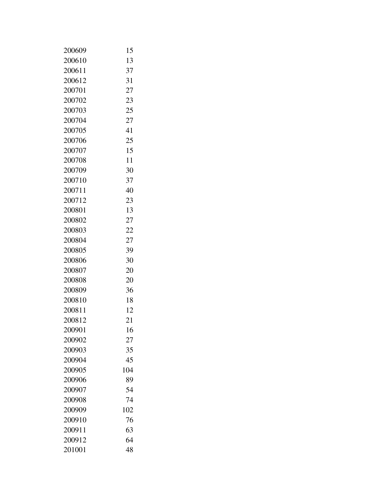| 200609 | 15  |
|--------|-----|
| 200610 | 13  |
| 200611 | 37  |
| 200612 | 31  |
| 200701 | 27  |
| 200702 | 23  |
| 200703 | 25  |
| 200704 | 27  |
| 200705 | 41  |
| 200706 | 25  |
| 200707 | 15  |
| 200708 | 11  |
| 200709 | 30  |
| 200710 | 37  |
| 200711 | 40  |
| 200712 | 23  |
| 200801 | 13  |
| 200802 | 27  |
| 200803 | 22  |
| 200804 | 27  |
| 200805 | 39  |
| 200806 | 30  |
| 200807 | 20  |
| 200808 | 20  |
| 200809 | 36  |
| 200810 | 18  |
| 200811 | 12  |
| 200812 | 21  |
| 200901 | 16  |
| 200902 | 27  |
| 200903 | 35  |
| 200904 | 45  |
| 200905 | 104 |
| 200906 | 89  |
| 200907 | 54  |
| 200908 | 74  |
| 200909 | 102 |
| 200910 | 76  |
| 200911 | 63  |
| 200912 | 64  |
| 201001 | 48  |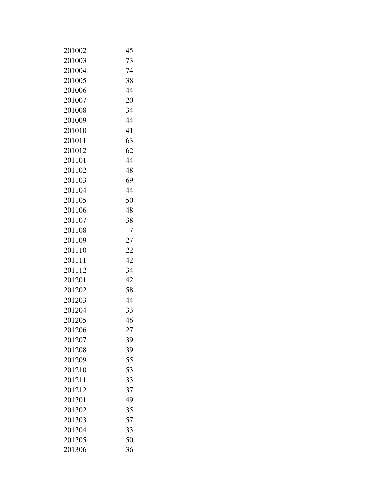| 201002 | 45 |
|--------|----|
| 201003 | 73 |
| 201004 | 74 |
| 201005 | 38 |
| 201006 | 44 |
| 201007 | 20 |
| 201008 | 34 |
| 201009 | 44 |
| 201010 | 41 |
| 201011 | 63 |
| 201012 | 62 |
| 201101 | 44 |
| 201102 | 48 |
| 201103 | 69 |
| 201104 | 44 |
| 201105 | 50 |
| 201106 | 48 |
| 201107 | 38 |
| 201108 | 7  |
| 201109 | 27 |
| 201110 | 22 |
| 201111 | 42 |
| 201112 | 34 |
| 201201 | 42 |
| 201202 | 58 |
| 201203 | 44 |
| 201204 | 33 |
| 201205 | 46 |
| 201206 | 27 |
| 201207 | 39 |
| 201208 | 39 |
| 201209 | 55 |
| 201210 | 53 |
| 201211 | 33 |
| 201212 | 37 |
| 201301 | 49 |
| 201302 | 35 |
| 201303 | 57 |
| 201304 | 33 |
| 201305 | 50 |
| 201306 | 36 |